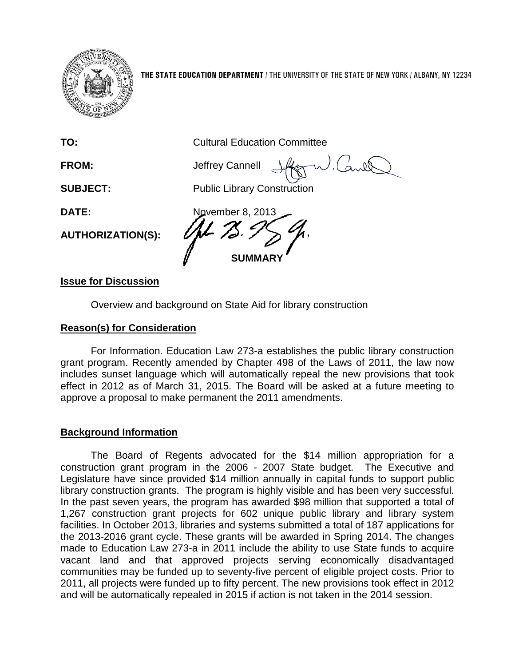

**THE STATE EDUCATION DEPARTMENT** / THE UNIVERSITY OF THE STATE OF NEW YORK / ALBANY, NY 12234

| TO:                      | <b>Cultural Education Committee</b> |
|--------------------------|-------------------------------------|
| <b>FROM:</b>             | Jeffrey Cannell                     |
| <b>SUBJECT:</b>          | <b>Public Library Construction</b>  |
| DATE:                    | November 8, 2013                    |
| <b>AUTHORIZATION(S):</b> | <b>SUMMAR</b>                       |
| ومنوعبيهمنا يتمه وبروما  |                                     |

## **Issue for Discussion**

Overview and background on State Aid for library construction

## **Reason(s) for Consideration**

For Information. Education Law 273-a establishes the public library construction grant program. Recently amended by Chapter 498 of the Laws of 2011, the law now includes sunset language which will automatically repeal the new provisions that took effect in 2012 as of March 31, 2015. The Board will be asked at a future meeting to approve a proposal to make permanent the 2011 amendments.

## **Background Information**

The Board of Regents advocated for the \$14 million appropriation for a construction grant program in the 2006 - 2007 State budget. The Executive and Legislature have since provided \$14 million annually in capital funds to support public library construction grants. The program is highly visible and has been very successful. In the past seven years, the program has awarded \$98 million that supported a total of 1,267 construction grant projects for 602 unique public library and library system facilities. In October 2013, libraries and systems submitted a total of 187 applications for the 2013-2016 grant cycle. These grants will be awarded in Spring 2014. The changes made to Education Law 273-a in 2011 include the ability to use State funds to acquire vacant land and that approved projects serving economically disadvantaged communities may be funded up to seventy-five percent of eligible project costs. Prior to 2011, all projects were funded up to fifty percent. The new provisions took effect in 2012 and will be automatically repealed in 2015 if action is not taken in the 2014 session.